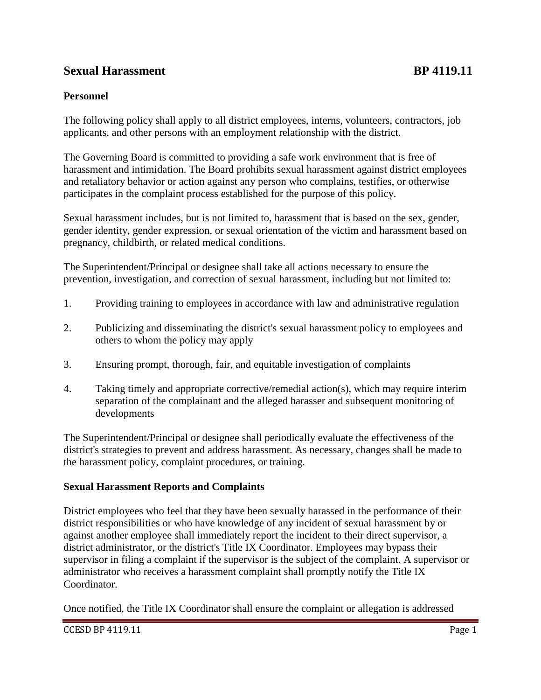## **Sexual Harassment BP 4119.11**

## **Personnel**

The following policy shall apply to all district employees, interns, volunteers, contractors, job applicants, and other persons with an employment relationship with the district.

The Governing Board is committed to providing a safe work environment that is free of harassment and intimidation. The Board prohibits sexual harassment against district employees and retaliatory behavior or action against any person who complains, testifies, or otherwise participates in the complaint process established for the purpose of this policy.

Sexual harassment includes, but is not limited to, harassment that is based on the sex, gender, gender identity, gender expression, or sexual orientation of the victim and harassment based on pregnancy, childbirth, or related medical conditions.

The Superintendent/Principal or designee shall take all actions necessary to ensure the prevention, investigation, and correction of sexual harassment, including but not limited to:

- 1. Providing training to employees in accordance with law and administrative regulation
- 2. Publicizing and disseminating the district's sexual harassment policy to employees and others to whom the policy may apply
- 3. Ensuring prompt, thorough, fair, and equitable investigation of complaints
- 4. Taking timely and appropriate corrective/remedial action(s), which may require interim separation of the complainant and the alleged harasser and subsequent monitoring of developments

The Superintendent/Principal or designee shall periodically evaluate the effectiveness of the district's strategies to prevent and address harassment. As necessary, changes shall be made to the harassment policy, complaint procedures, or training.

## **Sexual Harassment Reports and Complaints**

District employees who feel that they have been sexually harassed in the performance of their district responsibilities or who have knowledge of any incident of sexual harassment by or against another employee shall immediately report the incident to their direct supervisor, a district administrator, or the district's Title IX Coordinator. Employees may bypass their supervisor in filing a complaint if the supervisor is the subject of the complaint. A supervisor or administrator who receives a harassment complaint shall promptly notify the Title IX Coordinator.

Once notified, the Title IX Coordinator shall ensure the complaint or allegation is addressed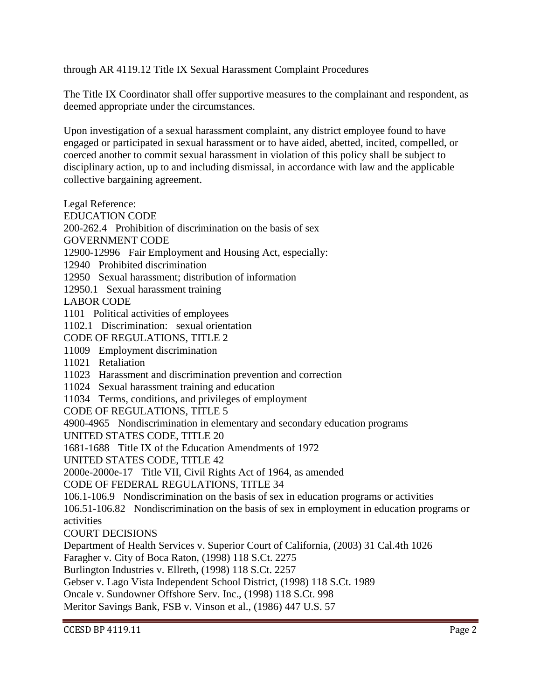through AR 4119.12 Title IX Sexual Harassment Complaint Procedures

The Title IX Coordinator shall offer supportive measures to the complainant and respondent, as deemed appropriate under the circumstances.

Upon investigation of a sexual harassment complaint, any district employee found to have engaged or participated in sexual harassment or to have aided, abetted, incited, compelled, or coerced another to commit sexual harassment in violation of this policy shall be subject to disciplinary action, up to and including dismissal, in accordance with law and the applicable collective bargaining agreement.

Legal Reference:

EDUCATION CODE

200-262.4 Prohibition of discrimination on the basis of sex

GOVERNMENT CODE

12900-12996 Fair Employment and Housing Act, especially:

12940 Prohibited discrimination

12950 Sexual harassment; distribution of information

12950.1 Sexual harassment training

LABOR CODE

1101 Political activities of employees

1102.1 Discrimination: sexual orientation

CODE OF REGULATIONS, TITLE 2

11009 Employment discrimination

11021 Retaliation

11023 Harassment and discrimination prevention and correction

11024 Sexual harassment training and education

11034 Terms, conditions, and privileges of employment

CODE OF REGULATIONS, TITLE 5

4900-4965 Nondiscrimination in elementary and secondary education programs

UNITED STATES CODE, TITLE 20

1681-1688 Title IX of the Education Amendments of 1972

UNITED STATES CODE, TITLE 42

2000e-2000e-17 Title VII, Civil Rights Act of 1964, as amended

CODE OF FEDERAL REGULATIONS, TITLE 34

106.1-106.9 Nondiscrimination on the basis of sex in education programs or activities

106.51-106.82 Nondiscrimination on the basis of sex in employment in education programs or activities

COURT DECISIONS

Department of Health Services v. Superior Court of California, (2003) 31 Cal.4th 1026

Faragher v. City of Boca Raton, (1998) 118 S.Ct. 2275

Burlington Industries v. Ellreth, (1998) 118 S.Ct. 2257

Gebser v. Lago Vista Independent School District, (1998) 118 S.Ct. 1989

Oncale v. Sundowner Offshore Serv. Inc., (1998) 118 S.Ct. 998

Meritor Savings Bank, FSB v. Vinson et al., (1986) 447 U.S. 57